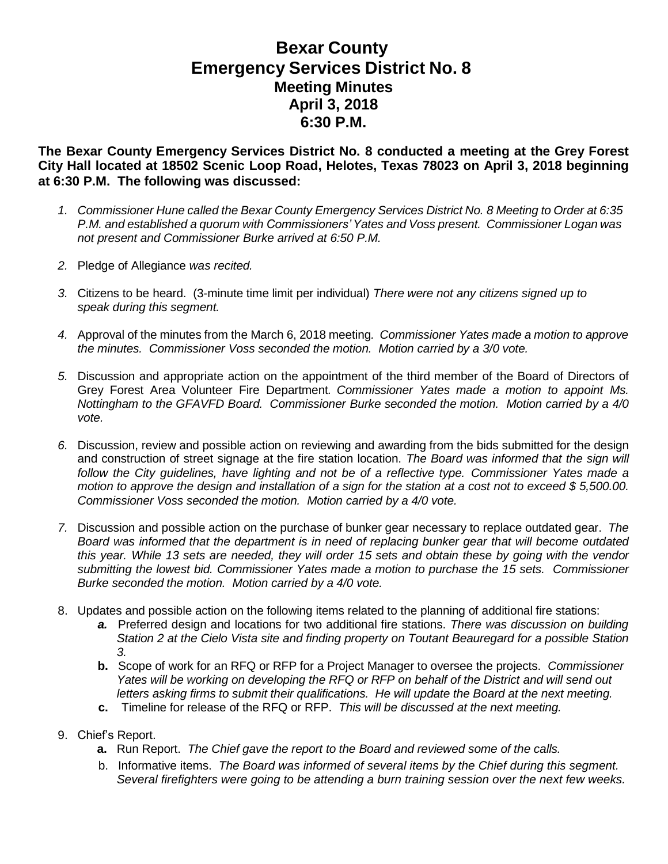## **Bexar County Emergency Services District No. 8 Meeting Minutes April 3, 2018 6:30 P.M.**

**The Bexar County Emergency Services District No. 8 conducted a meeting at the Grey Forest City Hall located at 18502 Scenic Loop Road, Helotes, Texas 78023 on April 3, 2018 beginning at 6:30 P.M. The following was discussed:**

- *1. Commissioner Hune called the Bexar County Emergency Services District No. 8 Meeting to Order at 6:35 P.M. and established a quorum with Commissioners' Yates and Voss present. Commissioner Logan was not present and Commissioner Burke arrived at 6:50 P.M.*
- *2.* Pledge of Allegiance *was recited.*
- *3.* Citizens to be heard. (3-minute time limit per individual) *There were not any citizens signed up to speak during this segment.*
- *4.* Approval of the minutes from the March 6, 2018 meeting*. Commissioner Yates made a motion to approve the minutes. Commissioner Voss seconded the motion. Motion carried by a 3/0 vote.*
- *5.* Discussion and appropriate action on the appointment of the third member of the Board of Directors of Grey Forest Area Volunteer Fire Department*. Commissioner Yates made a motion to appoint Ms. Nottingham to the GFAVFD Board. Commissioner Burke seconded the motion. Motion carried by a 4/0 vote.*
- *6.* Discussion, review and possible action on reviewing and awarding from the bids submitted for the design and construction of street signage at the fire station location. *The Board was informed that the sign will follow the City guidelines, have lighting and not be of a reflective type. Commissioner Yates made a* motion to approve the design and installation of a sign for the station at a cost not to exceed \$5,500.00. *Commissioner Voss seconded the motion. Motion carried by a 4/0 vote.*
- *7.* Discussion and possible action on the purchase of bunker gear necessary to replace outdated gear. *The Board was informed that the department is in need of replacing bunker gear that will become outdated* this year. While 13 sets are needed, they will order 15 sets and obtain these by going with the vendor *submitting the lowest bid. Commissioner Yates made a motion to purchase the 15 sets. Commissioner Burke seconded the motion. Motion carried by a 4/0 vote.*
- 8. Updates and possible action on the following items related to the planning of additional fire stations:
	- *a.* Preferred design and locations for two additional fire stations. *There was discussion on building Station 2 at the Cielo Vista site and finding property on Toutant Beauregard for a possible Station 3.*
	- **b.** Scope of work for an RFQ or RFP for a Project Manager to oversee the projects. *Commissioner Yates will be working on developing the RFQ or RFP on behalf of the District and will send out letters asking firms to submit their qualifications. He will update the Board at the next meeting.*
	- **c.** Timeline for release of the RFQ or RFP. *This will be discussed at the next meeting.*
- 9. Chief's Report.
	- **a.** Run Report. *The Chief gave the report to the Board and reviewed some of the calls.*
	- b. Informative items. *The Board was informed of several items by the Chief during this segment. Several firefighters were going to be attending a burn training session over the next few weeks.*